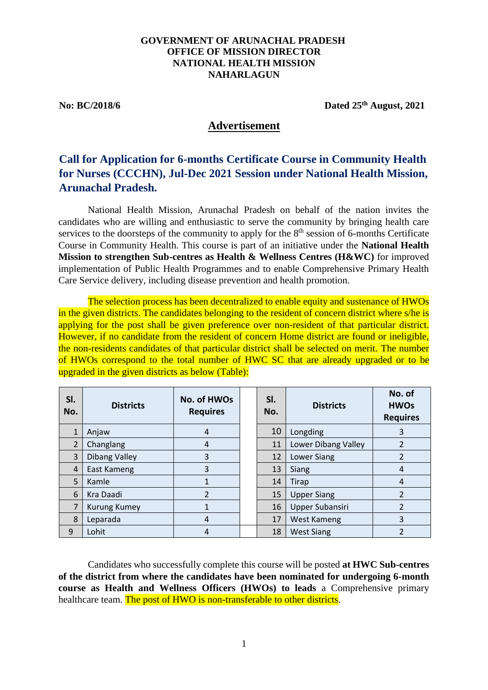## **GOVERNMENT OF ARUNACHAL PRADESH OFFICE OF MISSION DIRECTOR NATIONAL HEALTH MISSION NAHARLAGUN**

**No: BC/2018/6 Dated 25th August, 2021**

# **Advertisement**

# **Call for Application for 6-months Certificate Course in Community Health for Nurses (CCCHN), Jul-Dec 2021 Session under National Health Mission, Arunachal Pradesh.**

National Health Mission, Arunachal Pradesh on behalf of the nation invites the candidates who are willing and enthusiastic to serve the community by bringing health care services to the doorsteps of the community to apply for the  $8<sup>th</sup>$  session of 6-months Certificate Course in Community Health. This course is part of an initiative under the **National Health Mission to strengthen Sub-centres as Health & Wellness Centres (H&WC)** for improved implementation of Public Health Programmes and to enable Comprehensive Primary Health Care Service delivery, including disease prevention and health promotion.

The selection process has been decentralized to enable equity and sustenance of HWOs in the given districts. The candidates belonging to the resident of concern district where s/he is applying for the post shall be given preference over non-resident of that particular district. However, if no candidate from the resident of concern Home district are found or ineligible, the non-residents candidates of that particular district shall be selected on merit. The number of HWOs correspond to the total number of HWC SC that are already upgraded or to be upgraded in the given districts as below (Table):

| SI.<br>No.     | <b>Districts</b>     | No. of HWOs<br><b>Requires</b> | SI.<br>No. | <b>Districts</b>       | No. of<br><b>HWOs</b><br><b>Requires</b> |
|----------------|----------------------|--------------------------------|------------|------------------------|------------------------------------------|
| $\mathbf{1}$   | Anjaw                | 4                              | 10         | Longding               | 3                                        |
| $\overline{2}$ | Changlang            | 4                              | 11         | Lower Dibang Valley    |                                          |
| 3              | <b>Dibang Valley</b> | 3                              | 12         | Lower Siang            | 2                                        |
| $\overline{4}$ | East Kameng          | 3                              | 13         | <b>Siang</b>           | 4                                        |
| 5              | Kamle                |                                | 14         | Tirap                  | 4                                        |
| 6              | Kra Daadi            | $\overline{2}$                 | 15         | <b>Upper Siang</b>     | 2                                        |
| 7              | <b>Kurung Kumey</b>  |                                | 16         | <b>Upper Subansiri</b> | $\overline{\phantom{a}}$                 |
| 8              | Leparada             | 4                              | 17         | West Kameng            | 3                                        |
| 9              | Lohit                | 4                              | 18         | <b>West Siang</b>      | $\mathfrak z$                            |

Candidates who successfully complete this course will be posted **at HWC Sub-centres of the district from where the candidates have been nominated for undergoing 6-month course as Health and Wellness Officers (HWOs) to leads** a Comprehensive primary healthcare team. The post of HWO is non-transferable to other districts.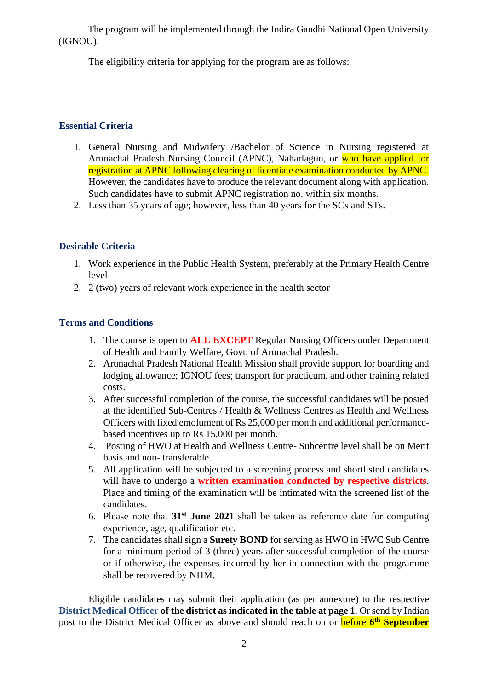The program will be implemented through the Indira Gandhi National Open University (IGNOU).

The eligibility criteria for applying for the program are as follows:

# **Essential Criteria**

- 1. General Nursing and Midwifery /Bachelor of Science in Nursing registered at Arunachal Pradesh Nursing Council (APNC), Naharlagun, or who have applied for registration at APNC following clearing of licentiate examination conducted by APNC. However, the candidates have to produce the relevant document along with application. Such candidates have to submit APNC registration no. within six months.
- 2. Less than 35 years of age; however, less than 40 years for the SCs and STs.

# **Desirable Criteria**

- 1. Work experience in the Public Health System, preferably at the Primary Health Centre level
- 2. 2 (two) years of relevant work experience in the health sector

## **Terms and Conditions**

- 1. The course is open to **ALL EXCEPT** Regular Nursing Officers under Department of Health and Family Welfare, Govt. of Arunachal Pradesh.
- 2. Arunachal Pradesh National Health Mission shall provide support for boarding and lodging allowance; IGNOU fees; transport for practicum, and other training related costs.
- 3. After successful completion of the course, the successful candidates will be posted at the identified Sub-Centres / Health & Wellness Centres as Health and Wellness Officers with fixed emolument of Rs 25,000 per month and additional performancebased incentives up to Rs 15,000 per month.
- 4. Posting of HWO at Health and Wellness Centre- Subcentre level shall be on Merit basis and non- transferable.
- 5. All application will be subjected to a screening process and shortlisted candidates will have to undergo a **written examination conducted by respective districts**. Place and timing of the examination will be intimated with the screened list of the candidates.
- 6. Please note that **31st June 2021** shall be taken as reference date for computing experience, age, qualification etc.
- 7. The candidates shall sign a **Surety BOND** for serving as HWO in HWC Sub Centre for a minimum period of 3 (three) years after successful completion of the course or if otherwise, the expenses incurred by her in connection with the programme shall be recovered by NHM.

Eligible candidates may submit their application (as per annexure) to the respective **District Medical Officer of the district as indicated in the table at page 1**. Or send by Indian post to the District Medical Officer as above and should reach on or before **6 th September**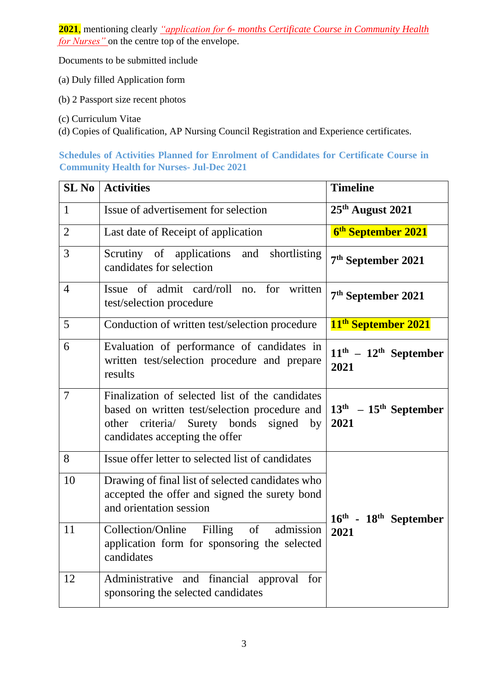**2021**, mentioning clearly *"application for 6- months Certificate Course in Community Health for Nurses"* on the centre top of the envelope.

Documents to be submitted include

- (a) Duly filled Application form
- (b) 2 Passport size recent photos
- (c) Curriculum Vitae
- (d) Copies of Qualification, AP Nursing Council Registration and Experience certificates.

# **Schedules of Activities Planned for Enrolment of Candidates for Certificate Course in Community Health for Nurses- Jul-Dec 2021**

| <b>SL No</b>   | <b>Activities</b>                                                                                                                                                                  | <b>Timeline</b>                               |  |
|----------------|------------------------------------------------------------------------------------------------------------------------------------------------------------------------------------|-----------------------------------------------|--|
| $\mathbf{1}$   | Issue of advertisement for selection                                                                                                                                               | $25th$ August 2021                            |  |
| $\overline{2}$ | Last date of Receipt of application                                                                                                                                                | 6 <sup>th</sup> September 2021                |  |
| 3              | Scrutiny of applications<br>shortlisting<br>and<br>candidates for selection                                                                                                        | 7 <sup>th</sup> September 2021                |  |
| $\overline{4}$ | Issue of admit card/roll no. for<br>written<br>test/selection procedure                                                                                                            | 7 <sup>th</sup> September 2021                |  |
| 5              | Conduction of written test/selection procedure                                                                                                                                     | 11 <sup>th</sup> September 2021               |  |
| 6              | Evaluation of performance of candidates in<br>written test/selection procedure and prepare<br>results                                                                              | $11th - 12th$ September<br>2021               |  |
| $\overline{7}$ | Finalization of selected list of the candidates<br>based on written test/selection procedure and<br>other criteria/ Surety bonds<br>signed<br>by<br>candidates accepting the offer | $13th - 15th$ September<br>2021               |  |
| 8              | Issue offer letter to selected list of candidates                                                                                                                                  |                                               |  |
| 10             | Drawing of final list of selected candidates who<br>accepted the offer and signed the surety bond<br>and orientation session                                                       | $16^{\text{th}}$ - $18^{\text{th}}$ September |  |
| 11             | Collection/Online<br>Filling of<br>admission<br>application form for sponsoring the selected<br>candidates                                                                         | 2021                                          |  |
| 12             | Administrative and financial<br>approval for<br>sponsoring the selected candidates                                                                                                 |                                               |  |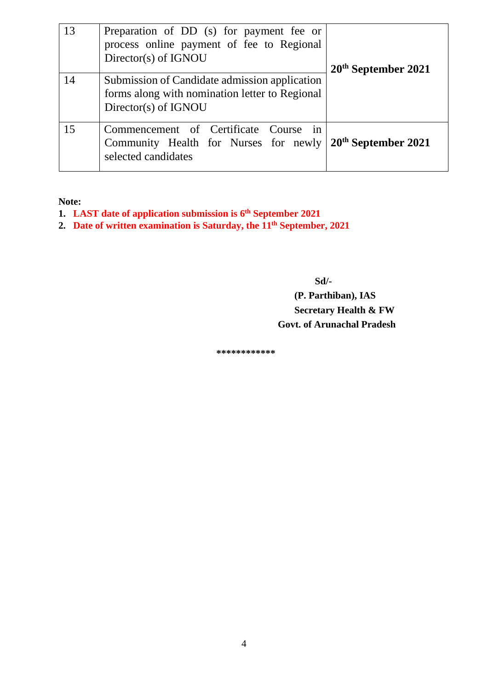| 13 | Preparation of DD (s) for payment fee or<br>process online payment of fee to Regional<br>Director(s) of IGNOU                     | $20th$ September 2021 |  |
|----|-----------------------------------------------------------------------------------------------------------------------------------|-----------------------|--|
| 14 | Submission of Candidate admission application<br>forms along with nomination letter to Regional<br>Director(s) of IGNOU           |                       |  |
| 15 | Commencement of Certificate Course<br>1n<br>Community Health for Nurses for newly $20^{th}$ September 2021<br>selected candidates |                       |  |

**Note:** 

- **1. LAST date of application submission is 6 th September 2021**
- **2. Date of written examination is Saturday, the 11th September, 2021**

 **Sd/-**

# **(P. Parthiban), IAS Secretary Health & FW Govt. of Arunachal Pradesh**

 **\*\*\*\*\*\*\*\*\*\*\*\***